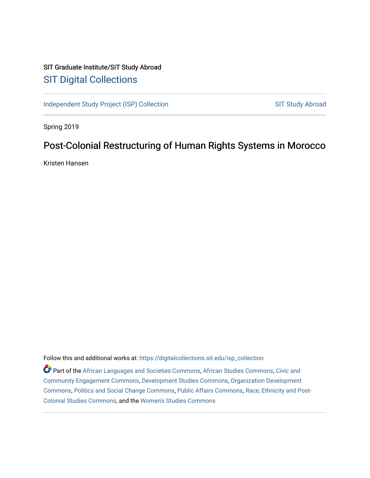# SIT Graduate Institute/SIT Study Abroad [SIT Digital Collections](https://digitalcollections.sit.edu/)

[Independent Study Project \(ISP\) Collection](https://digitalcollections.sit.edu/isp_collection) SIT Study Abroad

Spring 2019

# Post-Colonial Restructuring of Human Rights Systems in Morocco

Kristen Hansen

Follow this and additional works at: [https://digitalcollections.sit.edu/isp\\_collection](https://digitalcollections.sit.edu/isp_collection?utm_source=digitalcollections.sit.edu%2Fisp_collection%2F3066&utm_medium=PDF&utm_campaign=PDFCoverPages) 

Part of the [African Languages and Societies Commons,](http://network.bepress.com/hgg/discipline/476?utm_source=digitalcollections.sit.edu%2Fisp_collection%2F3066&utm_medium=PDF&utm_campaign=PDFCoverPages) [African Studies Commons](http://network.bepress.com/hgg/discipline/1043?utm_source=digitalcollections.sit.edu%2Fisp_collection%2F3066&utm_medium=PDF&utm_campaign=PDFCoverPages), [Civic and](http://network.bepress.com/hgg/discipline/1028?utm_source=digitalcollections.sit.edu%2Fisp_collection%2F3066&utm_medium=PDF&utm_campaign=PDFCoverPages) [Community Engagement Commons](http://network.bepress.com/hgg/discipline/1028?utm_source=digitalcollections.sit.edu%2Fisp_collection%2F3066&utm_medium=PDF&utm_campaign=PDFCoverPages), [Development Studies Commons](http://network.bepress.com/hgg/discipline/1422?utm_source=digitalcollections.sit.edu%2Fisp_collection%2F3066&utm_medium=PDF&utm_campaign=PDFCoverPages), [Organization Development](http://network.bepress.com/hgg/discipline/1242?utm_source=digitalcollections.sit.edu%2Fisp_collection%2F3066&utm_medium=PDF&utm_campaign=PDFCoverPages) [Commons](http://network.bepress.com/hgg/discipline/1242?utm_source=digitalcollections.sit.edu%2Fisp_collection%2F3066&utm_medium=PDF&utm_campaign=PDFCoverPages), [Politics and Social Change Commons](http://network.bepress.com/hgg/discipline/425?utm_source=digitalcollections.sit.edu%2Fisp_collection%2F3066&utm_medium=PDF&utm_campaign=PDFCoverPages), [Public Affairs Commons](http://network.bepress.com/hgg/discipline/399?utm_source=digitalcollections.sit.edu%2Fisp_collection%2F3066&utm_medium=PDF&utm_campaign=PDFCoverPages), [Race, Ethnicity and Post-](http://network.bepress.com/hgg/discipline/566?utm_source=digitalcollections.sit.edu%2Fisp_collection%2F3066&utm_medium=PDF&utm_campaign=PDFCoverPages)[Colonial Studies Commons](http://network.bepress.com/hgg/discipline/566?utm_source=digitalcollections.sit.edu%2Fisp_collection%2F3066&utm_medium=PDF&utm_campaign=PDFCoverPages), and the [Women's Studies Commons](http://network.bepress.com/hgg/discipline/561?utm_source=digitalcollections.sit.edu%2Fisp_collection%2F3066&utm_medium=PDF&utm_campaign=PDFCoverPages)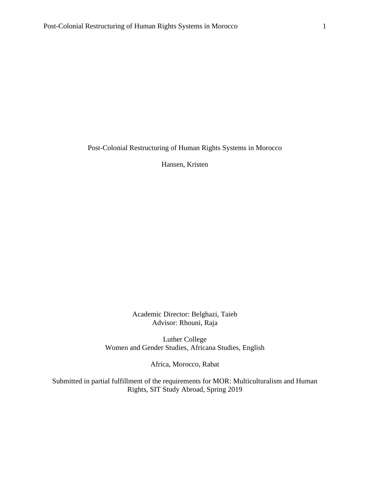Post-Colonial Restructuring of Human Rights Systems in Morocco

Hansen, Kristen

Academic Director: Belghazi, Taieb Advisor: Rhouni, Raja

Luther College Women and Gender Studies, Africana Studies, English

Africa, Morocco, Rabat

Submitted in partial fulfillment of the requirements for MOR: Multiculturalism and Human Rights, SIT Study Abroad, Spring 2019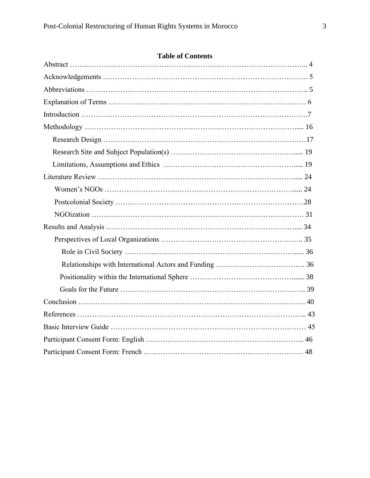## **Table of Contents**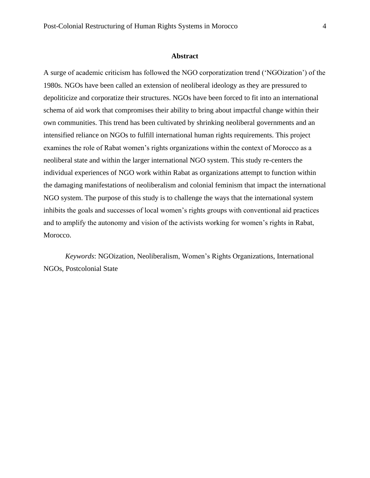#### **Abstract**

A surge of academic criticism has followed the NGO corporatization trend ('NGOization') of the 1980s. NGOs have been called an extension of neoliberal ideology as they are pressured to depoliticize and corporatize their structures. NGOs have been forced to fit into an international schema of aid work that compromises their ability to bring about impactful change within their own communities. This trend has been cultivated by shrinking neoliberal governments and an intensified reliance on NGOs to fulfill international human rights requirements. This project examines the role of Rabat women's rights organizations within the context of Morocco as a neoliberal state and within the larger international NGO system. This study re-centers the individual experiences of NGO work within Rabat as organizations attempt to function within the damaging manifestations of neoliberalism and colonial feminism that impact the international NGO system. The purpose of this study is to challenge the ways that the international system inhibits the goals and successes of local women's rights groups with conventional aid practices and to amplify the autonomy and vision of the activists working for women's rights in Rabat, Morocco.

*Keywords*: NGOization, Neoliberalism, Women's Rights Organizations, International NGOs, Postcolonial State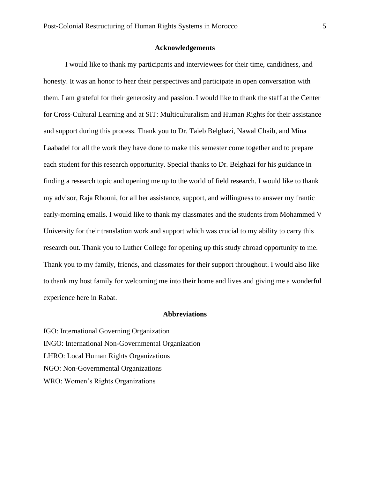#### **Acknowledgements**

I would like to thank my participants and interviewees for their time, candidness, and honesty. It was an honor to hear their perspectives and participate in open conversation with them. I am grateful for their generosity and passion. I would like to thank the staff at the Center for Cross-Cultural Learning and at SIT: Multiculturalism and Human Rights for their assistance and support during this process. Thank you to Dr. Taieb Belghazi, Nawal Chaib, and Mina Laabadel for all the work they have done to make this semester come together and to prepare each student for this research opportunity. Special thanks to Dr. Belghazi for his guidance in finding a research topic and opening me up to the world of field research. I would like to thank my advisor, Raja Rhouni, for all her assistance, support, and willingness to answer my frantic early-morning emails. I would like to thank my classmates and the students from Mohammed V University for their translation work and support which was crucial to my ability to carry this research out. Thank you to Luther College for opening up this study abroad opportunity to me. Thank you to my family, friends, and classmates for their support throughout. I would also like to thank my host family for welcoming me into their home and lives and giving me a wonderful experience here in Rabat.

#### **Abbreviations**

IGO: International Governing Organization INGO: International Non-Governmental Organization LHRO: Local Human Rights Organizations NGO: Non-Governmental Organizations WRO: Women's Rights Organizations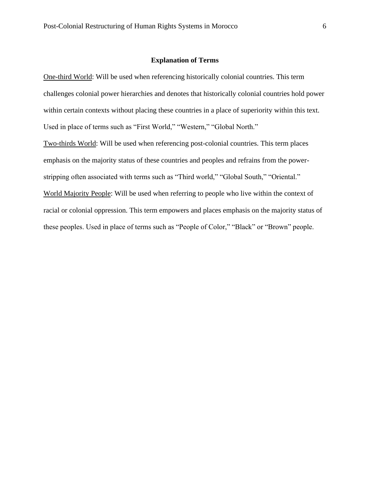#### **Explanation of Terms**

One-third World: Will be used when referencing historically colonial countries. This term challenges colonial power hierarchies and denotes that historically colonial countries hold power within certain contexts without placing these countries in a place of superiority within this text. Used in place of terms such as "First World," "Western," "Global North."

Two-thirds World: Will be used when referencing post-colonial countries. This term places emphasis on the majority status of these countries and peoples and refrains from the powerstripping often associated with terms such as "Third world," "Global South," "Oriental." World Majority People: Will be used when referring to people who live within the context of racial or colonial oppression. This term empowers and places emphasis on the majority status of these peoples. Used in place of terms such as "People of Color," "Black" or "Brown" people.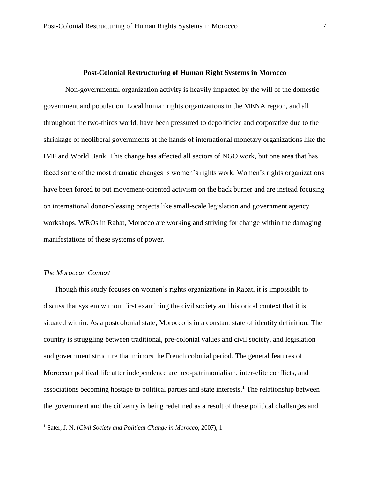#### **Post-Colonial Restructuring of Human Right Systems in Morocco**

Non-governmental organization activity is heavily impacted by the will of the domestic government and population. Local human rights organizations in the MENA region, and all throughout the two-thirds world, have been pressured to depoliticize and corporatize due to the shrinkage of neoliberal governments at the hands of international monetary organizations like the IMF and World Bank. This change has affected all sectors of NGO work, but one area that has faced some of the most dramatic changes is women's rights work. Women's rights organizations have been forced to put movement-oriented activism on the back burner and are instead focusing on international donor-pleasing projects like small-scale legislation and government agency workshops. WROs in Rabat, Morocco are working and striving for change within the damaging manifestations of these systems of power.

#### *The Moroccan Context*

Though this study focuses on women's rights organizations in Rabat, it is impossible to discuss that system without first examining the civil society and historical context that it is situated within. As a postcolonial state, Morocco is in a constant state of identity definition. The country is struggling between traditional, pre-colonial values and civil society, and legislation and government structure that mirrors the French colonial period. The general features of Moroccan political life after independence are neo-patrimonialism, inter-elite conflicts, and associations becoming hostage to political parties and state interests.<sup>1</sup> The relationship between the government and the citizenry is being redefined as a result of these political challenges and

<sup>1</sup> Sater, J. N. (*Civil Society and Political Change in Morocco*, 2007), 1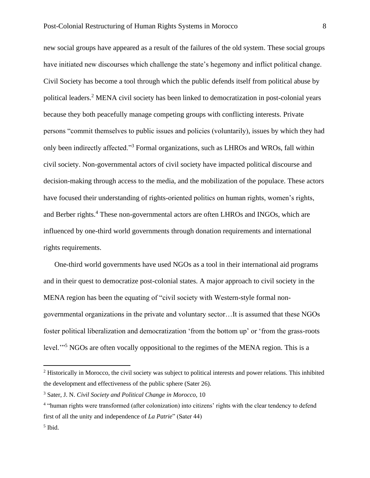new social groups have appeared as a result of the failures of the old system. These social groups have initiated new discourses which challenge the state's hegemony and inflict political change. Civil Society has become a tool through which the public defends itself from political abuse by political leaders.<sup>2</sup> MENA civil society has been linked to democratization in post-colonial years because they both peacefully manage competing groups with conflicting interests. Private persons "commit themselves to public issues and policies (voluntarily), issues by which they had only been indirectly affected."<sup>3</sup> Formal organizations, such as LHROs and WROs, fall within civil society. Non-governmental actors of civil society have impacted political discourse and decision-making through access to the media, and the mobilization of the populace. These actors have focused their understanding of rights-oriented politics on human rights, women's rights, and Berber rights.<sup>4</sup> These non-governmental actors are often LHROs and INGOs, which are influenced by one-third world governments through donation requirements and international rights requirements.

One-third world governments have used NGOs as a tool in their international aid programs and in their quest to democratize post-colonial states. A major approach to civil society in the MENA region has been the equating of "civil society with Western-style formal nongovernmental organizations in the private and voluntary sector…It is assumed that these NGOs foster political liberalization and democratization 'from the bottom up' or 'from the grass-roots level."<sup>5</sup> NGOs are often vocally oppositional to the regimes of the MENA region. This is a

 $2$  Historically in Morocco, the civil society was subject to political interests and power relations. This inhibited the development and effectiveness of the public sphere (Sater 26).

<sup>3</sup> Sater, J. N. *Civil Society and Political Change in Morocco,* 10

<sup>4</sup> "human rights were transformed (after colonization) into citizens' rights with the clear tendency to defend first of all the unity and independence of *La Patrie*" (Sater 44)

<sup>5</sup> Ibid.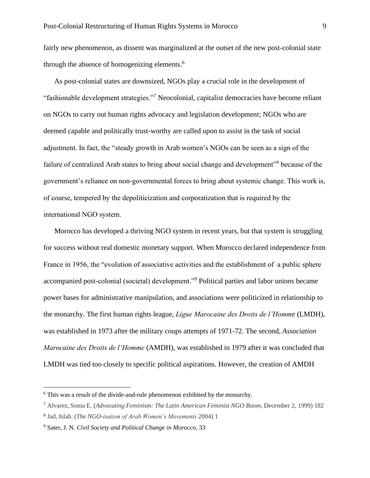fairly new phenomenon, as dissent was marginalized at the outset of the new post-colonial state through the absence of homogenizing elements.<sup>6</sup>

As post-colonial states are downsized, NGOs play a crucial role in the development of "fashionable development strategies."<sup>7</sup> Neocolonial, capitalist democracies have become reliant on NGOs to carry out human rights advocacy and legislation development; NGOs who are deemed capable and politically trust-worthy are called upon to assist in the task of social adjustment. In fact, the "steady growth in Arab women's NGOs can be seen as a sign of the failure of centralized Arab states to bring about social change and development"<sup>8</sup> because of the government's reliance on non-governmental forces to bring about systemic change. This work is, of course, tempered by the depoliticization and corporatization that is required by the international NGO system.

Morocco has developed a thriving NGO system in recent years, but that system is struggling for success without real domestic monetary support. When Morocco declared independence from France in 1956, the "evolution of associative activities and the establishment of a public sphere accompanied post-colonial (societal) development."<sup>9</sup> Political parties and labor unions became power bases for administrative manipulation, and associations were politicized in relationship to the monarchy. The first human rights league, *Ligue Marocaine des Droits de l'Homme* (LMDH), was established in 1973 after the military coups attempts of 1971-72. The second, *Association Marocaine des Droits de l'Homme* (AMDH), was established in 1979 after it was concluded that LMDH was tied too closely to specific political aspirations. However, the creation of AMDH

<sup>6</sup> This was a result of the divide-and-rule phenomenon exhibited by the monarchy.

<sup>7</sup> Alvarez, Sonia E. (*Advocating Feminism: The Latin American Feminist NGO Boom*, December 2, 1999) 182

<sup>8</sup> Jad, Islah. (*The NGO-isation of Arab Women's Movements* 2004) 1

<sup>9</sup> Sater, J. N. *Civil Society and Political Change in Morocco*, 33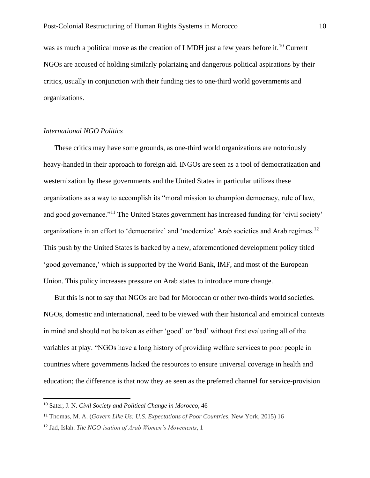was as much a political move as the creation of LMDH just a few years before it.<sup>10</sup> Current NGOs are accused of holding similarly polarizing and dangerous political aspirations by their critics, usually in conjunction with their funding ties to one-third world governments and organizations.

#### *International NGO Politics*

These critics may have some grounds, as one-third world organizations are notoriously heavy-handed in their approach to foreign aid. INGOs are seen as a tool of democratization and westernization by these governments and the United States in particular utilizes these organizations as a way to accomplish its "moral mission to champion democracy, rule of law, and good governance."<sup>11</sup> The United States government has increased funding for 'civil society' organizations in an effort to 'democratize' and 'modernize' Arab societies and Arab regimes.<sup>12</sup> This push by the United States is backed by a new, aforementioned development policy titled 'good governance,' which is supported by the World Bank, IMF, and most of the European Union. This policy increases pressure on Arab states to introduce more change.

But this is not to say that NGOs are bad for Moroccan or other two-thirds world societies. NGOs, domestic and international, need to be viewed with their historical and empirical contexts in mind and should not be taken as either 'good' or 'bad' without first evaluating all of the variables at play. "NGOs have a long history of providing welfare services to poor people in countries where governments lacked the resources to ensure universal coverage in health and education; the difference is that now they ae seen as the preferred channel for service-provision

<sup>10</sup> Sater, J. N. *Civil Society and Political Change in Morocco*, 46

<sup>11</sup> Thomas, M. A. (*Govern Like Us: U.S. Expectations of Poor Countries,* New York, 2015) 16

<sup>12</sup> Jad, Islah. *The NGO-isation of Arab Women's Movements*, 1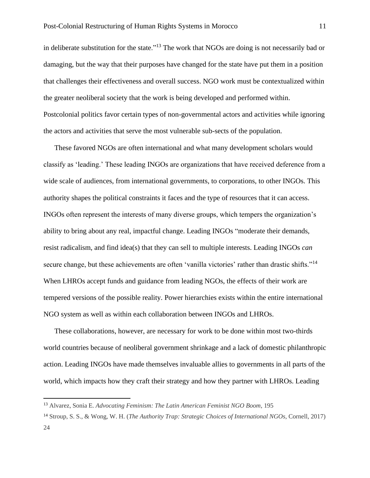in deliberate substitution for the state."<sup>13</sup> The work that NGOs are doing is not necessarily bad or damaging, but the way that their purposes have changed for the state have put them in a position that challenges their effectiveness and overall success. NGO work must be contextualized within the greater neoliberal society that the work is being developed and performed within. Postcolonial politics favor certain types of non-governmental actors and activities while ignoring the actors and activities that serve the most vulnerable sub-sects of the population.

These favored NGOs are often international and what many development scholars would classify as 'leading.' These leading INGOs are organizations that have received deference from a wide scale of audiences, from international governments, to corporations, to other INGOs. This authority shapes the political constraints it faces and the type of resources that it can access. INGOs often represent the interests of many diverse groups, which tempers the organization's ability to bring about any real, impactful change. Leading INGOs "moderate their demands, resist radicalism, and find idea(s) that they can sell to multiple interests. Leading INGOs *can* secure change, but these achievements are often 'vanilla victories' rather than drastic shifts."<sup>14</sup> When LHROs accept funds and guidance from leading NGOs, the effects of their work are tempered versions of the possible reality. Power hierarchies exists within the entire international NGO system as well as within each collaboration between INGOs and LHROs.

These collaborations, however, are necessary for work to be done within most two-thirds world countries because of neoliberal government shrinkage and a lack of domestic philanthropic action. Leading INGOs have made themselves invaluable allies to governments in all parts of the world, which impacts how they craft their strategy and how they partner with LHROs. Leading

<sup>13</sup> Alvarez, Sonia E. *Advocating Feminism: The Latin American Feminist NGO Boom*, 195

<sup>14</sup> Stroup, S. S., & Wong, W. H. (*The Authority Trap: Strategic Choices of International NGOs,* Cornell, 2017) 24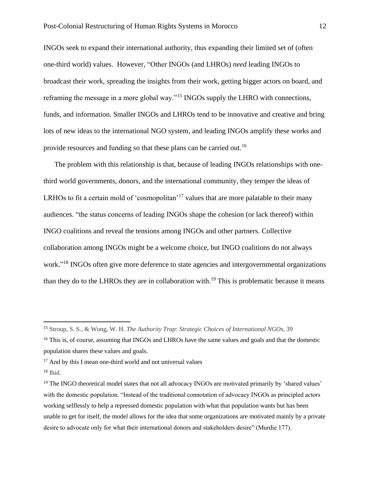INGOs seek to expand their international authority, thus expanding their limited set of (often one-third world) values. However, "Other INGOs (and LHROs) *need* leading INGOs to broadcast their work, spreading the insights from their work, getting bigger actors on board, and reframing the message in a more global way."<sup>15</sup> INGOs supply the LHRO with connections, funds, and information. Smaller INGOs and LHROs tend to be innovative and creative and bring lots of new ideas to the international NGO system, and leading INGOs amplify these works and provide resources and funding so that these plans can be carried out.<sup>16</sup>

The problem with this relationship is that, because of leading INGOs relationships with onethird world governments, donors, and the international community, they temper the ideas of LRHOs to fit a certain mold of 'cosmopolitan'<sup>17</sup> values that are more palatable to their many audiences. "the status concerns of leading INGOs shape the cohesion (or lack thereof) within INGO coalitions and reveal the tensions among INGOs and other partners. Collective collaboration among INGOs might be a welcome choice, but INGO coalitions do not always work."<sup>18</sup> INGOs often give more deference to state agencies and intergovernmental organizations than they do to the LHROs they are in collaboration with.<sup>19</sup> This is problematic because it means

<sup>15</sup> Stroup, S. S., & Wong, W. H. *The Authority Trap: Strategic Choices of International NGOs,* 39

<sup>&</sup>lt;sup>16</sup> This is, of course, assuming that INGOs and LHROs have the same values and goals and that the domestic population shares these values and goals.

 $17$  And by this I mean one-third world and not universal values

 $18$  Ibid.

<sup>&</sup>lt;sup>19</sup> The INGO theoretical model states that not all advocacy INGOs are motivated primarily by 'shared values' with the domestic population. "Instead of the traditional connotation of advocacy INGOs as principled actors working selflessly to help a repressed domestic population with what that population wants but has been unable to get for itself, the model allows for the idea that some organizations are motivated mainly by a private desire to advocate only for what their international donors and stakeholders desire" (Murdie 177).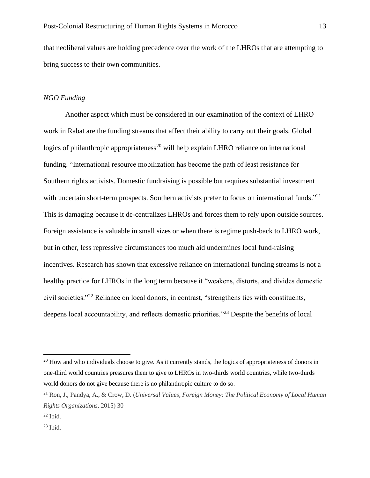that neoliberal values are holding precedence over the work of the LHROs that are attempting to bring success to their own communities.

#### *NGO Funding*

Another aspect which must be considered in our examination of the context of LHRO work in Rabat are the funding streams that affect their ability to carry out their goals. Global logics of philanthropic appropriateness<sup>20</sup> will help explain LHRO reliance on international funding. "International resource mobilization has become the path of least resistance for Southern rights activists. Domestic fundraising is possible but requires substantial investment with uncertain short-term prospects. Southern activists prefer to focus on international funds."<sup>21</sup> This is damaging because it de-centralizes LHROs and forces them to rely upon outside sources. Foreign assistance is valuable in small sizes or when there is regime push-back to LHRO work, but in other, less repressive circumstances too much aid undermines local fund-raising incentives. Research has shown that excessive reliance on international funding streams is not a healthy practice for LHROs in the long term because it "weakens, distorts, and divides domestic civil societies."<sup>22</sup> Reliance on local donors, in contrast, "strengthens ties with constituents, deepens local accountability, and reflects domestic priorities."<sup>23</sup> Despite the benefits of local

<sup>&</sup>lt;sup>20</sup> How and who individuals choose to give. As it currently stands, the logics of appropriateness of donors in one-third world countries pressures them to give to LHROs in two-thirds world countries, while two-thirds world donors do not give because there is no philanthropic culture to do so.

<sup>21</sup> Ron, J., Pandya, A., & Crow, D. (*Universal Values, Foreign Money: The Political Economy of Local Human Rights Organizations,* 2015) 30

 $22$  Ibid.

 $23$  Ibid.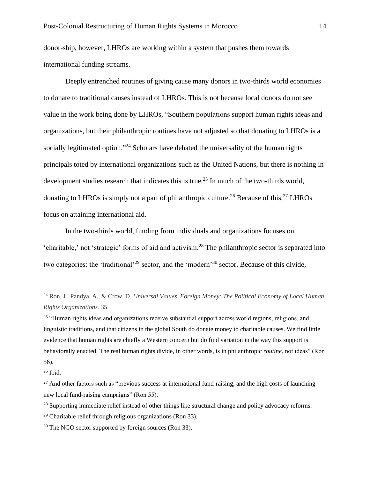donor-ship, however, LHROs are working within a system that pushes them towards international funding streams.

Deeply entrenched routines of giving cause many donors in two-thirds world economies to donate to traditional causes instead of LHROs. This is not because local donors do not see value in the work being done by LHROs, "Southern populations support human rights ideas and organizations, but their philanthropic routines have not adjusted so that donating to LHROs is a socially legitimated option."<sup>24</sup> Scholars have debated the universality of the human rights principals toted by international organizations such as the United Nations, but there is nothing in development studies research that indicates this is true.<sup>25</sup> In much of the two-thirds world, donating to LHROs is simply not a part of philanthropic culture.<sup>26</sup> Because of this,<sup>27</sup> LHROs focus on attaining international aid.

In the two-thirds world, funding from individuals and organizations focuses on 'charitable,' not 'strategic' forms of aid and activism.<sup>28</sup> The philanthropic sector is separated into two categories: the 'traditional'<sup>29</sup> sector, and the 'modern'<sup>30</sup> sector. Because of this divide,

<sup>24</sup> Ron, J., Pandya, A., & Crow, D. *Universal Values, Foreign Money: The Political Economy of Local Human Rights Organizations.* 35

<sup>&</sup>lt;sup>25</sup> "Human rights ideas and organizations receive substantial support across world regions, religions, and linguistic traditions, and that citizens in the global South do donate money to charitable causes. We find little evidence that human rights are chiefly a Western concern but do find variation in the way this support is behaviorally enacted. The real human rights divide, in other words, is in philanthropic *routine*, not ideas" (Ron 56).

 $26$  Ibid.

 $27$  And other factors such as "previous success at international fund-raising, and the high costs of launching new local fund-raising campaigns" (Ron 55).

<sup>&</sup>lt;sup>28</sup> Supporting immediate relief instead of other things like structural change and policy advocacy reforms.

 $29$  Charitable relief through religious organizations (Ron 33).

<sup>30</sup> The NGO sector supported by foreign sources (Ron 33).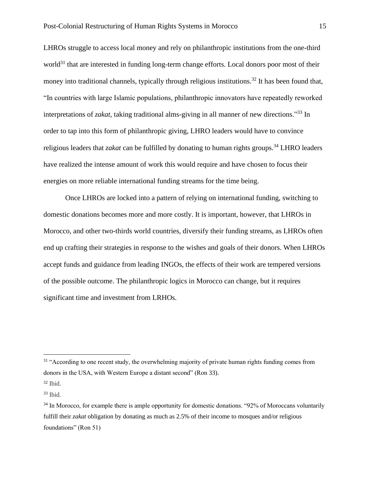LHROs struggle to access local money and rely on philanthropic institutions from the one-third world<sup>31</sup> that are interested in funding long-term change efforts. Local donors poor most of their money into traditional channels, typically through religious institutions.<sup>32</sup> It has been found that, "In countries with large Islamic populations, philanthropic innovators have repeatedly reworked interpretations of *zakat*, taking traditional alms-giving in all manner of new directions."<sup>33</sup> In order to tap into this form of philanthropic giving, LHRO leaders would have to convince religious leaders that *zakat* can be fulfilled by donating to human rights groups.<sup>34</sup> LHRO leaders have realized the intense amount of work this would require and have chosen to focus their energies on more reliable international funding streams for the time being.

Once LHROs are locked into a pattern of relying on international funding, switching to domestic donations becomes more and more costly. It is important, however, that LHROs in Morocco, and other two-thirds world countries, diversify their funding streams, as LHROs often end up crafting their strategies in response to the wishes and goals of their donors. When LHROs accept funds and guidance from leading INGOs, the effects of their work are tempered versions of the possible outcome. The philanthropic logics in Morocco can change, but it requires significant time and investment from LRHOs.

 $31$  "According to one recent study, the overwhelming majority of private human rights funding comes from donors in the USA, with Western Europe a distant second" (Ron 33).

 $32$  Ibid.

<sup>33</sup> Ibid.

<sup>&</sup>lt;sup>34</sup> In Morocco, for example there is ample opportunity for domestic donations. "92% of Moroccans voluntarily fulfill their *zakat* obligation by donating as much as 2.5% of their income to mosques and/or religious foundations" (Ron 51)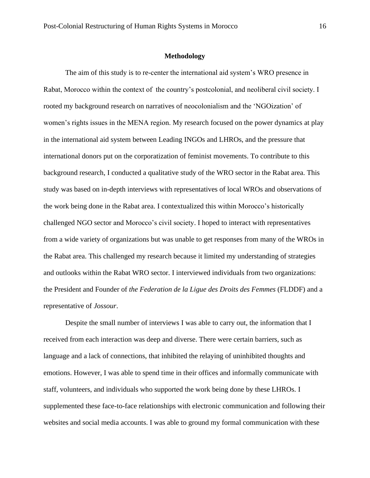#### **Methodology**

The aim of this study is to re-center the international aid system's WRO presence in Rabat, Morocco within the context of the country's postcolonial, and neoliberal civil society. I rooted my background research on narratives of neocolonialism and the 'NGOization' of women's rights issues in the MENA region. My research focused on the power dynamics at play in the international aid system between Leading INGOs and LHROs, and the pressure that international donors put on the corporatization of feminist movements. To contribute to this background research, I conducted a qualitative study of the WRO sector in the Rabat area. This study was based on in-depth interviews with representatives of local WROs and observations of the work being done in the Rabat area. I contextualized this within Morocco's historically challenged NGO sector and Morocco's civil society. I hoped to interact with representatives from a wide variety of organizations but was unable to get responses from many of the WROs in the Rabat area. This challenged my research because it limited my understanding of strategies and outlooks within the Rabat WRO sector. I interviewed individuals from two organizations: the President and Founder of *the Federation de la Ligue des Droits des Femmes* (FLDDF) and a representative of *Jossour*.

Despite the small number of interviews I was able to carry out, the information that I received from each interaction was deep and diverse. There were certain barriers, such as language and a lack of connections, that inhibited the relaying of uninhibited thoughts and emotions. However, I was able to spend time in their offices and informally communicate with staff, volunteers, and individuals who supported the work being done by these LHROs. I supplemented these face-to-face relationships with electronic communication and following their websites and social media accounts. I was able to ground my formal communication with these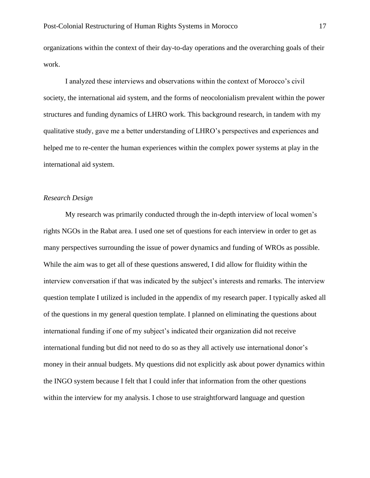organizations within the context of their day-to-day operations and the overarching goals of their work.

I analyzed these interviews and observations within the context of Morocco's civil society, the international aid system, and the forms of neocolonialism prevalent within the power structures and funding dynamics of LHRO work. This background research, in tandem with my qualitative study, gave me a better understanding of LHRO's perspectives and experiences and helped me to re-center the human experiences within the complex power systems at play in the international aid system.

#### *Research Design*

My research was primarily conducted through the in-depth interview of local women's rights NGOs in the Rabat area. I used one set of questions for each interview in order to get as many perspectives surrounding the issue of power dynamics and funding of WROs as possible. While the aim was to get all of these questions answered, I did allow for fluidity within the interview conversation if that was indicated by the subject's interests and remarks. The interview question template I utilized is included in the appendix of my research paper. I typically asked all of the questions in my general question template. I planned on eliminating the questions about international funding if one of my subject's indicated their organization did not receive international funding but did not need to do so as they all actively use international donor's money in their annual budgets. My questions did not explicitly ask about power dynamics within the INGO system because I felt that I could infer that information from the other questions within the interview for my analysis. I chose to use straightforward language and question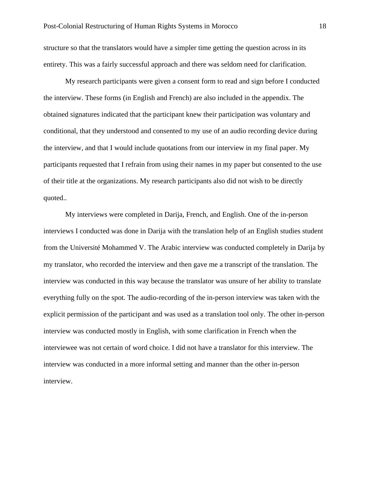structure so that the translators would have a simpler time getting the question across in its entirety. This was a fairly successful approach and there was seldom need for clarification.

My research participants were given a consent form to read and sign before I conducted the interview. These forms (in English and French) are also included in the appendix. The obtained signatures indicated that the participant knew their participation was voluntary and conditional, that they understood and consented to my use of an audio recording device during the interview, and that I would include quotations from our interview in my final paper. My participants requested that I refrain from using their names in my paper but consented to the use of their title at the organizations. My research participants also did not wish to be directly quoted..

My interviews were completed in Darija, French, and English. One of the in-person interviews I conducted was done in Darija with the translation help of an English studies student from the Université Mohammed V. The Arabic interview was conducted completely in Darija by my translator, who recorded the interview and then gave me a transcript of the translation. The interview was conducted in this way because the translator was unsure of her ability to translate everything fully on the spot. The audio-recording of the in-person interview was taken with the explicit permission of the participant and was used as a translation tool only. The other in-person interview was conducted mostly in English, with some clarification in French when the interviewee was not certain of word choice. I did not have a translator for this interview. The interview was conducted in a more informal setting and manner than the other in-person interview.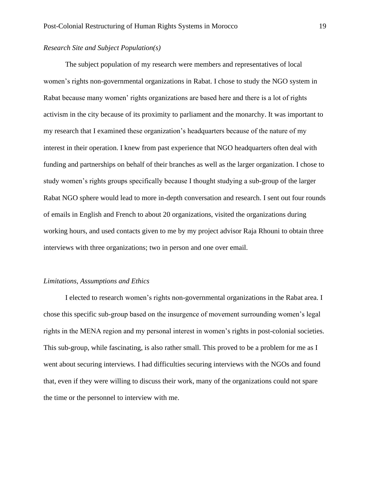#### *Research Site and Subject Population(s)*

The subject population of my research were members and representatives of local women's rights non-governmental organizations in Rabat. I chose to study the NGO system in Rabat because many women' rights organizations are based here and there is a lot of rights activism in the city because of its proximity to parliament and the monarchy. It was important to my research that I examined these organization's headquarters because of the nature of my interest in their operation. I knew from past experience that NGO headquarters often deal with funding and partnerships on behalf of their branches as well as the larger organization. I chose to study women's rights groups specifically because I thought studying a sub-group of the larger Rabat NGO sphere would lead to more in-depth conversation and research. I sent out four rounds of emails in English and French to about 20 organizations, visited the organizations during working hours, and used contacts given to me by my project advisor Raja Rhouni to obtain three interviews with three organizations; two in person and one over email.

#### *Limitations, Assumptions and Ethics*

I elected to research women's rights non-governmental organizations in the Rabat area. I chose this specific sub-group based on the insurgence of movement surrounding women's legal rights in the MENA region and my personal interest in women's rights in post-colonial societies. This sub-group, while fascinating, is also rather small. This proved to be a problem for me as I went about securing interviews. I had difficulties securing interviews with the NGOs and found that, even if they were willing to discuss their work, many of the organizations could not spare the time or the personnel to interview with me.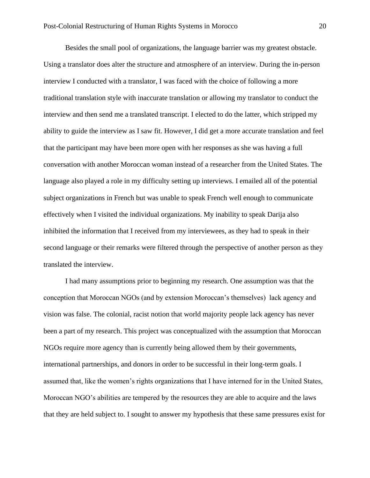Besides the small pool of organizations, the language barrier was my greatest obstacle. Using a translator does alter the structure and atmosphere of an interview. During the in-person interview I conducted with a translator, I was faced with the choice of following a more traditional translation style with inaccurate translation or allowing my translator to conduct the interview and then send me a translated transcript. I elected to do the latter, which stripped my ability to guide the interview as I saw fit. However, I did get a more accurate translation and feel that the participant may have been more open with her responses as she was having a full conversation with another Moroccan woman instead of a researcher from the United States. The language also played a role in my difficulty setting up interviews. I emailed all of the potential subject organizations in French but was unable to speak French well enough to communicate effectively when I visited the individual organizations. My inability to speak Darija also inhibited the information that I received from my interviewees, as they had to speak in their second language or their remarks were filtered through the perspective of another person as they translated the interview.

I had many assumptions prior to beginning my research. One assumption was that the conception that Moroccan NGOs (and by extension Moroccan's themselves) lack agency and vision was false. The colonial, racist notion that world majority people lack agency has never been a part of my research. This project was conceptualized with the assumption that Moroccan NGOs require more agency than is currently being allowed them by their governments, international partnerships, and donors in order to be successful in their long-term goals. I assumed that, like the women's rights organizations that I have interned for in the United States, Moroccan NGO's abilities are tempered by the resources they are able to acquire and the laws that they are held subject to. I sought to answer my hypothesis that these same pressures exist for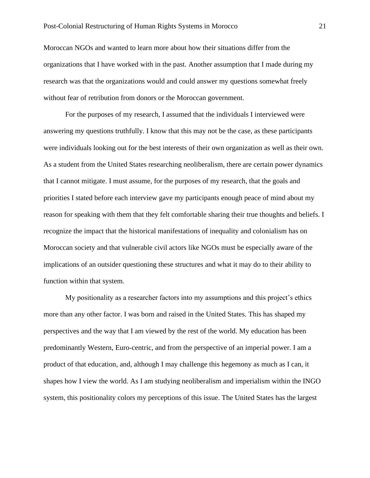Moroccan NGOs and wanted to learn more about how their situations differ from the organizations that I have worked with in the past. Another assumption that I made during my research was that the organizations would and could answer my questions somewhat freely without fear of retribution from donors or the Moroccan government.

For the purposes of my research, I assumed that the individuals I interviewed were answering my questions truthfully. I know that this may not be the case, as these participants were individuals looking out for the best interests of their own organization as well as their own. As a student from the United States researching neoliberalism, there are certain power dynamics that I cannot mitigate. I must assume, for the purposes of my research, that the goals and priorities I stated before each interview gave my participants enough peace of mind about my reason for speaking with them that they felt comfortable sharing their true thoughts and beliefs. I recognize the impact that the historical manifestations of inequality and colonialism has on Moroccan society and that vulnerable civil actors like NGOs must be especially aware of the implications of an outsider questioning these structures and what it may do to their ability to function within that system.

My positionality as a researcher factors into my assumptions and this project's ethics more than any other factor. I was born and raised in the United States. This has shaped my perspectives and the way that I am viewed by the rest of the world. My education has been predominantly Western, Euro-centric, and from the perspective of an imperial power. I am a product of that education, and, although I may challenge this hegemony as much as I can, it shapes how I view the world. As I am studying neoliberalism and imperialism within the INGO system, this positionality colors my perceptions of this issue. The United States has the largest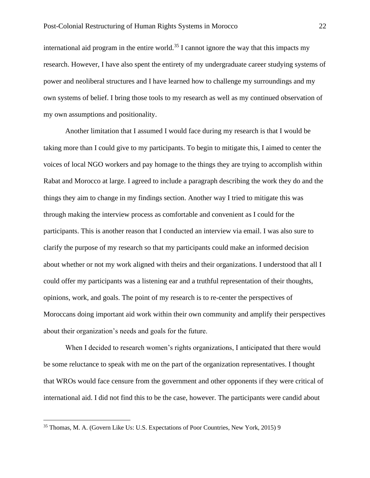international aid program in the entire world.<sup>35</sup> I cannot ignore the way that this impacts my research. However, I have also spent the entirety of my undergraduate career studying systems of power and neoliberal structures and I have learned how to challenge my surroundings and my own systems of belief. I bring those tools to my research as well as my continued observation of my own assumptions and positionality.

Another limitation that I assumed I would face during my research is that I would be taking more than I could give to my participants. To begin to mitigate this, I aimed to center the voices of local NGO workers and pay homage to the things they are trying to accomplish within Rabat and Morocco at large. I agreed to include a paragraph describing the work they do and the things they aim to change in my findings section. Another way I tried to mitigate this was through making the interview process as comfortable and convenient as I could for the participants. This is another reason that I conducted an interview via email. I was also sure to clarify the purpose of my research so that my participants could make an informed decision about whether or not my work aligned with theirs and their organizations. I understood that all I could offer my participants was a listening ear and a truthful representation of their thoughts, opinions, work, and goals. The point of my research is to re-center the perspectives of Moroccans doing important aid work within their own community and amplify their perspectives about their organization's needs and goals for the future.

When I decided to research women's rights organizations, I anticipated that there would be some reluctance to speak with me on the part of the organization representatives. I thought that WROs would face censure from the government and other opponents if they were critical of international aid. I did not find this to be the case, however. The participants were candid about

<sup>35</sup> Thomas, M. A. (Govern Like Us: U.S. Expectations of Poor Countries, New York, 2015) 9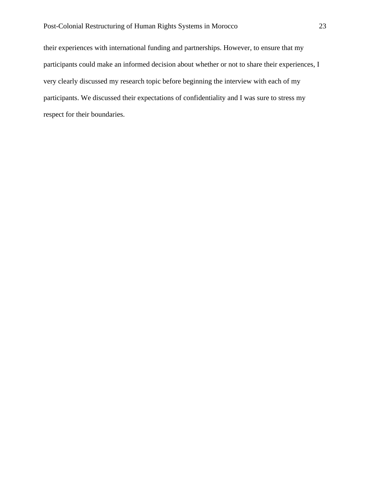their experiences with international funding and partnerships. However, to ensure that my participants could make an informed decision about whether or not to share their experiences, I very clearly discussed my research topic before beginning the interview with each of my participants. We discussed their expectations of confidentiality and I was sure to stress my respect for their boundaries.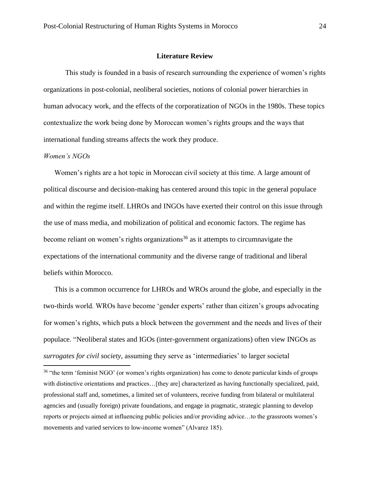#### **Literature Review**

This study is founded in a basis of research surrounding the experience of women's rights organizations in post-colonial, neoliberal societies, notions of colonial power hierarchies in human advocacy work, and the effects of the corporatization of NGOs in the 1980s. These topics contextualize the work being done by Moroccan women's rights groups and the ways that international funding streams affects the work they produce.

#### *Women's NGOs*

Women's rights are a hot topic in Moroccan civil society at this time. A large amount of political discourse and decision-making has centered around this topic in the general populace and within the regime itself. LHROs and INGOs have exerted their control on this issue through the use of mass media, and mobilization of political and economic factors. The regime has become reliant on women's rights organizations<sup>36</sup> as it attempts to circumnavigate the expectations of the international community and the diverse range of traditional and liberal beliefs within Morocco.

This is a common occurrence for LHROs and WROs around the globe, and especially in the two-thirds world. WROs have become 'gender experts' rather than citizen's groups advocating for women's rights, which puts a block between the government and the needs and lives of their populace. "Neoliberal states and IGOs (inter-government organizations) often view INGOs as *surrogates for civil society*, assuming they serve as 'intermediaries' to larger societal

<sup>&</sup>lt;sup>36</sup> "the term 'feminist NGO' (or women's rights organization) has come to denote particular kinds of groups with distinctive orientations and practices...[they are] characterized as having functionally specialized, paid, professional staff and, sometimes, a limited set of volunteers, receive funding from bilateral or multilateral agencies and (usually foreign) private foundations, and engage in pragmatic, strategic planning to develop reports or projects aimed at influencing public policies and/or providing advice…to the grassroots women's movements and varied services to low-income women" (Alvarez 185).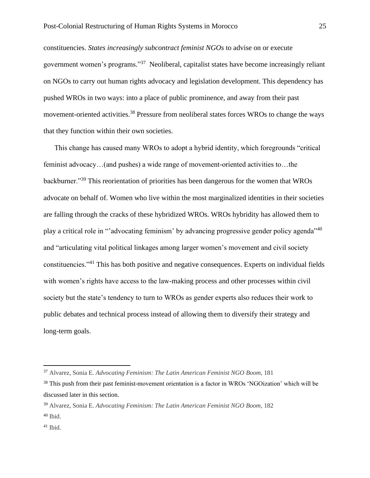constituencies. *States increasingly subcontract feminist NGOs* to advise on or execute government women's programs."<sup>37</sup> Neoliberal, capitalist states have become increasingly reliant on NGOs to carry out human rights advocacy and legislation development. This dependency has pushed WROs in two ways: into a place of public prominence, and away from their past movement-oriented activities.<sup>38</sup> Pressure from neoliberal states forces WROs to change the ways that they function within their own societies.

This change has caused many WROs to adopt a hybrid identity, which foregrounds "critical feminist advocacy…(and pushes) a wide range of movement-oriented activities to…the backburner."<sup>39</sup> This reorientation of priorities has been dangerous for the women that WROs advocate on behalf of. Women who live within the most marginalized identities in their societies are falling through the cracks of these hybridized WROs. WROs hybridity has allowed them to play a critical role in "'advocating feminism' by advancing progressive gender policy agenda"<sup>40</sup> and "articulating vital political linkages among larger women's movement and civil society constituencies."<sup>41</sup> This has both positive and negative consequences. Experts on individual fields with women's rights have access to the law-making process and other processes within civil society but the state's tendency to turn to WROs as gender experts also reduces their work to public debates and technical process instead of allowing them to diversify their strategy and long-term goals.

<sup>37</sup> Alvarez, Sonia E. *Advocating Feminism: The Latin American Feminist NGO Boom*, 181

<sup>&</sup>lt;sup>38</sup> This push from their past feminist-movement orientation is a factor in WROs 'NGOization' which will be discussed later in this section.

<sup>39</sup> Alvarez, Sonia E. *Advocating Feminism: The Latin American Feminist NGO Boom*, 182  $40$  Ibid.

 $41$  Ibid.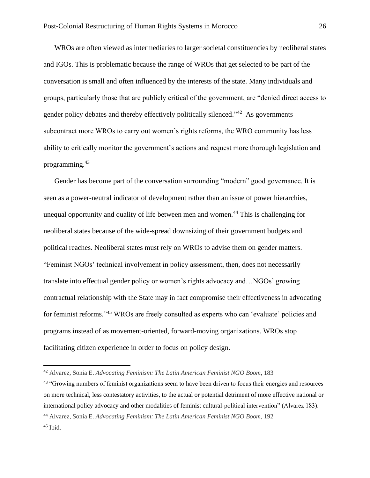WROs are often viewed as intermediaries to larger societal constituencies by neoliberal states and IGOs. This is problematic because the range of WROs that get selected to be part of the conversation is small and often influenced by the interests of the state. Many individuals and groups, particularly those that are publicly critical of the government, are "denied direct access to gender policy debates and thereby effectively politically silenced.<sup> $342$ </sup> As governments subcontract more WROs to carry out women's rights reforms, the WRO community has less ability to critically monitor the government's actions and request more thorough legislation and programming.<sup>43</sup>

Gender has become part of the conversation surrounding "modern" good governance. It is seen as a power-neutral indicator of development rather than an issue of power hierarchies, unequal opportunity and quality of life between men and women.<sup>44</sup> This is challenging for neoliberal states because of the wide-spread downsizing of their government budgets and political reaches. Neoliberal states must rely on WROs to advise them on gender matters. "Feminist NGOs' technical involvement in policy assessment, then, does not necessarily translate into effectual gender policy or women's rights advocacy and…NGOs' growing contractual relationship with the State may in fact compromise their effectiveness in advocating for feminist reforms."<sup>45</sup> WROs are freely consulted as experts who can 'evaluate' policies and programs instead of as movement-oriented, forward-moving organizations. WROs stop facilitating citizen experience in order to focus on policy design.

<sup>42</sup> Alvarez, Sonia E. *Advocating Feminism: The Latin American Feminist NGO Boom*, 183

<sup>&</sup>lt;sup>43</sup> "Growing numbers of feminist organizations seem to have been driven to focus their energies and resources on more technical, less contestatory activities, to the actual or potential detriment of more effective national or international policy advocacy and other modalities of feminist cultural-political intervention" (Alvarez 183). <sup>44</sup> Alvarez, Sonia E. *Advocating Feminism: The Latin American Feminist NGO Boom*, 192  $45$  Ibid.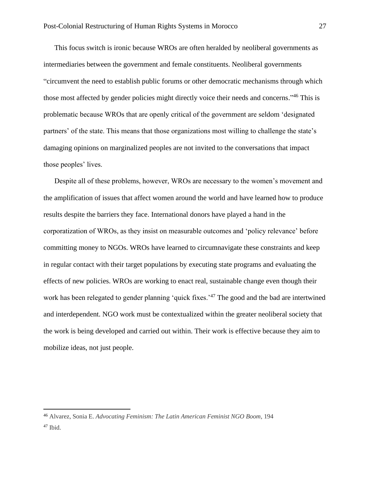This focus switch is ironic because WROs are often heralded by neoliberal governments as intermediaries between the government and female constituents. Neoliberal governments "circumvent the need to establish public forums or other democratic mechanisms through which those most affected by gender policies might directly voice their needs and concerns."<sup>46</sup> This is problematic because WROs that are openly critical of the government are seldom 'designated partners' of the state. This means that those organizations most willing to challenge the state's damaging opinions on marginalized peoples are not invited to the conversations that impact those peoples' lives.

Despite all of these problems, however, WROs are necessary to the women's movement and the amplification of issues that affect women around the world and have learned how to produce results despite the barriers they face. International donors have played a hand in the corporatization of WROs, as they insist on measurable outcomes and 'policy relevance' before committing money to NGOs. WROs have learned to circumnavigate these constraints and keep in regular contact with their target populations by executing state programs and evaluating the effects of new policies. WROs are working to enact real, sustainable change even though their work has been relegated to gender planning 'quick fixes.<sup>47</sup> The good and the bad are intertwined and interdependent. NGO work must be contextualized within the greater neoliberal society that the work is being developed and carried out within. Their work is effective because they aim to mobilize ideas, not just people.

<sup>46</sup> Alvarez, Sonia E. *Advocating Feminism: The Latin American Feminist NGO Boom*, 194 <sup>47</sup> Ibid.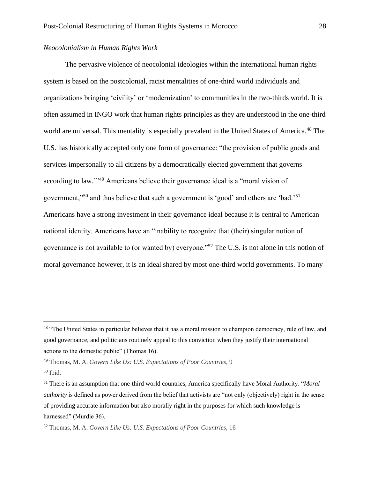#### *Neocolonialism in Human Rights Work*

The pervasive violence of neocolonial ideologies within the international human rights system is based on the postcolonial, racist mentalities of one-third world individuals and organizations bringing 'civility' or 'modernization' to communities in the two-thirds world. It is often assumed in INGO work that human rights principles as they are understood in the one-third world are universal. This mentality is especially prevalent in the United States of America.<sup>48</sup> The U.S. has historically accepted only one form of governance: "the provision of public goods and services impersonally to all citizens by a democratically elected government that governs according to law."<sup>49</sup> Americans believe their governance ideal is a "moral vision of government,"<sup>50</sup> and thus believe that such a government is 'good' and others are 'bad.'<sup>51</sup> Americans have a strong investment in their governance ideal because it is central to American national identity. Americans have an "inability to recognize that (their) singular notion of governance is not available to (or wanted by) everyone."<sup>52</sup> The U.S. is not alone in this notion of moral governance however, it is an ideal shared by most one-third world governments. To many

<sup>&</sup>lt;sup>48</sup> "The United States in particular believes that it has a moral mission to champion democracy, rule of law, and good governance, and politicians routinely appeal to this conviction when they justify their international actions to the domestic public" (Thomas 16).

<sup>49</sup> Thomas, M. A. *Govern Like Us: U.S. Expectations of Poor Countries,* 9

 $50$  Ibid.

<sup>51</sup> There is an assumption that one-third world countries, America specifically have Moral Authority. "*Moral authority* is defined as power derived from the belief that activists are "not only (objectively) right in the sense of providing accurate information but also morally right in the purposes for which such knowledge is harnessed" (Murdie 36).

<sup>52</sup> Thomas, M. A. *Govern Like Us: U.S. Expectations of Poor Countries,* 16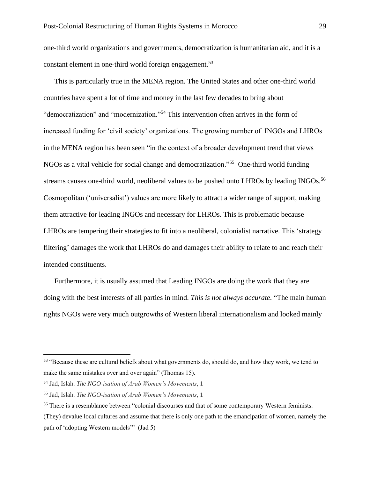one-third world organizations and governments, democratization is humanitarian aid, and it is a constant element in one-third world foreign engagement.<sup>53</sup>

This is particularly true in the MENA region. The United States and other one-third world countries have spent a lot of time and money in the last few decades to bring about "democratization" and "modernization."<sup>54</sup> This intervention often arrives in the form of increased funding for 'civil society' organizations. The growing number of INGOs and LHROs in the MENA region has been seen "in the context of a broader development trend that views NGOs as a vital vehicle for social change and democratization." 55 One-third world funding streams causes one-third world, neoliberal values to be pushed onto LHROs by leading INGOs.<sup>56</sup> Cosmopolitan ('universalist') values are more likely to attract a wider range of support, making them attractive for leading INGOs and necessary for LHROs. This is problematic because LHROs are tempering their strategies to fit into a neoliberal, colonialist narrative. This 'strategy filtering' damages the work that LHROs do and damages their ability to relate to and reach their intended constituents.

Furthermore, it is usually assumed that Leading INGOs are doing the work that they are doing with the best interests of all parties in mind. *This is not always accurate*. "The main human rights NGOs were very much outgrowths of Western liberal internationalism and looked mainly

<sup>&</sup>lt;sup>53</sup> "Because these are cultural beliefs about what governments do, should do, and how they work, we tend to make the same mistakes over and over again" (Thomas 15).

<sup>54</sup> Jad, Islah. *The NGO-isation of Arab Women's Movements*, 1

<sup>55</sup> Jad, Islah. *The NGO-isation of Arab Women's Movements*, 1

<sup>56</sup> There is a resemblance between "colonial discourses and that of some contemporary Western feminists. (They) devalue local cultures and assume that there is only one path to the emancipation of women, namely the path of 'adopting Western models'" (Jad 5)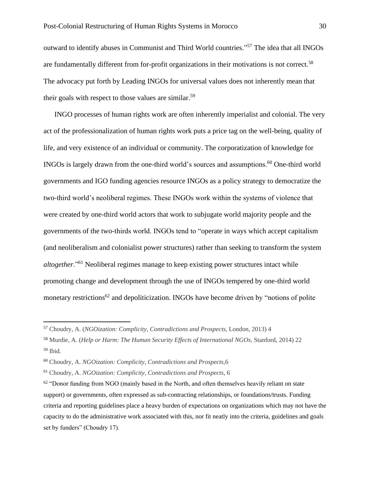outward to identify abuses in Communist and Third World countries." <sup>57</sup> The idea that all INGOs are fundamentally different from for-profit organizations in their motivations is not correct.<sup>58</sup> The advocacy put forth by Leading INGOs for universal values does not inherently mean that their goals with respect to those values are similar.<sup>59</sup>

INGO processes of human rights work are often inherently imperialist and colonial. The very act of the professionalization of human rights work puts a price tag on the well-being, quality of life, and very existence of an individual or community. The corporatization of knowledge for INGOs is largely drawn from the one-third world's sources and assumptions.<sup>60</sup> One-third world governments and IGO funding agencies resource INGOs as a policy strategy to democratize the two-third world's neoliberal regimes. These INGOs work within the systems of violence that were created by one-third world actors that work to subjugate world majority people and the governments of the two-thirds world. INGOs tend to "operate in ways which accept capitalism (and neoliberalism and colonialist power structures) rather than seeking to transform the system *altogether*."<sup>61</sup> Neoliberal regimes manage to keep existing power structures intact while promoting change and development through the use of INGOs tempered by one-third world monetary restrictions<sup>62</sup> and depoliticization. INGOs have become driven by "notions of polite"

<sup>57</sup> Choudry, A. (*NGOization: Complicity, Contradictions and Prospects,* London*,* 2013) 4

<sup>58</sup> Murdie, A. (*Help or Harm: The Human Security Effects of International NGOs,* Stanford, 2014) 22 <sup>59</sup> Ibid.

<sup>60</sup> Choudry, A. *NGOization: Complicity, Contradictions and Prospects,*6

<sup>61</sup> Choudry, A. *NGOization: Complicity, Contradictions and Prospects,* 6

 $62$  "Donor funding from NGO (mainly based in the North, and often themselves heavily reliant on state support) or governments, often expressed as sub-contracting relationships, or foundations/trusts. Funding criteria and reporting guidelines place a heavy burden of expectations on organizations which may not have the capacity to do the administrative work associated with this, nor fit neatly into the criteria, guidelines and goals set by funders" (Choudry 17).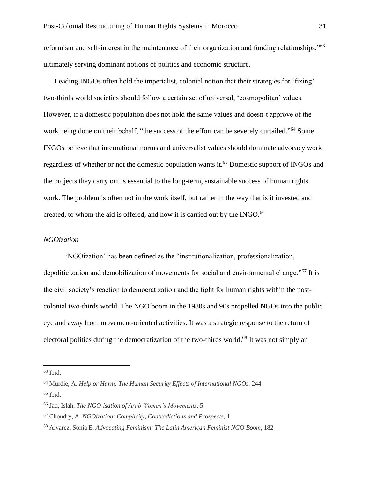reformism and self-interest in the maintenance of their organization and funding relationships,"<sup>63</sup> ultimately serving dominant notions of politics and economic structure.

Leading INGOs often hold the imperialist, colonial notion that their strategies for 'fixing' two-thirds world societies should follow a certain set of universal, 'cosmopolitan' values. However, if a domestic population does not hold the same values and doesn't approve of the work being done on their behalf, "the success of the effort can be severely curtailed."<sup>64</sup> Some INGOs believe that international norms and universalist values should dominate advocacy work regardless of whether or not the domestic population wants it.<sup>65</sup> Domestic support of INGOs and the projects they carry out is essential to the long-term, sustainable success of human rights work. The problem is often not in the work itself, but rather in the way that is it invested and created, to whom the aid is offered, and how it is carried out by the INGO.<sup>66</sup>

### *NGOization*

'NGOization' has been defined as the "institutionalization, professionalization, depoliticization and demobilization of movements for social and environmental change."<sup>67</sup> It is the civil society's reaction to democratization and the fight for human rights within the postcolonial two-thirds world. The NGO boom in the 1980s and 90s propelled NGOs into the public eye and away from movement-oriented activities. It was a strategic response to the return of electoral politics during the democratization of the two-thirds world.<sup>68</sup> It was not simply an

<sup>65</sup> Ibid.

 $63$  Ibid.

<sup>64</sup> Murdie, A. *Help or Harm: The Human Security Effects of International NGOs.* 244

<sup>66</sup> Jad, Islah. *The NGO-isation of Arab Women's Movements*, 5

<sup>67</sup> Choudry, A. *NGOization: Complicity, Contradictions and Prospects,* 1

<sup>68</sup> Alvarez, Sonia E. *Advocating Feminism: The Latin American Feminist NGO Boom*, 182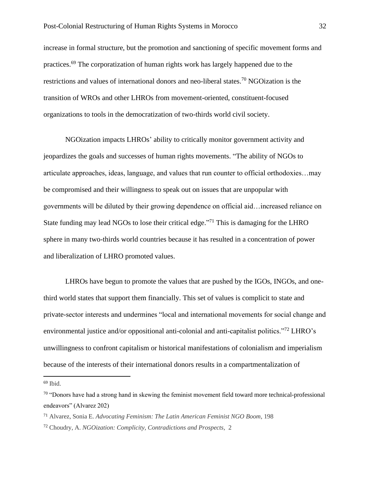increase in formal structure, but the promotion and sanctioning of specific movement forms and practices.<sup>69</sup> The corporatization of human rights work has largely happened due to the restrictions and values of international donors and neo-liberal states.<sup>70</sup> NGOization is the transition of WROs and other LHROs from movement-oriented, constituent-focused organizations to tools in the democratization of two-thirds world civil society.

NGOization impacts LHROs' ability to critically monitor government activity and jeopardizes the goals and successes of human rights movements. "The ability of NGOs to articulate approaches, ideas, language, and values that run counter to official orthodoxies…may be compromised and their willingness to speak out on issues that are unpopular with governments will be diluted by their growing dependence on official aid…increased reliance on State funding may lead NGOs to lose their critical edge."<sup>71</sup> This is damaging for the LHRO sphere in many two-thirds world countries because it has resulted in a concentration of power and liberalization of LHRO promoted values.

LHROs have begun to promote the values that are pushed by the IGOs, INGOs, and onethird world states that support them financially. This set of values is complicit to state and private-sector interests and undermines "local and international movements for social change and environmental justice and/or oppositional anti-colonial and anti-capitalist politics."<sup>72</sup> LHRO's unwillingness to confront capitalism or historical manifestations of colonialism and imperialism because of the interests of their international donors results in a compartmentalization of

 $69$  Ibid.

<sup>&</sup>lt;sup>70</sup> "Donors have had a strong hand in skewing the feminist movement field toward more technical-professional endeavors" (Alvarez 202)

<sup>71</sup> Alvarez, Sonia E. *Advocating Feminism: The Latin American Feminist NGO Boom*, 198

<sup>72</sup> Choudry, A. *NGOization: Complicity, Contradictions and Prospects,* 2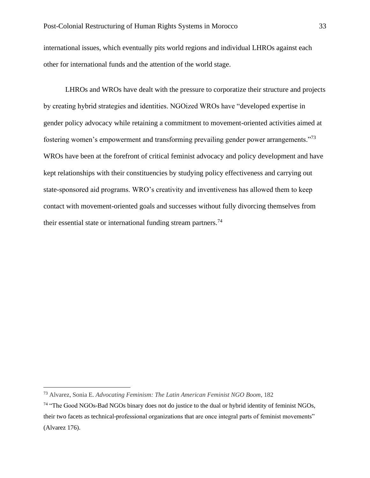international issues, which eventually pits world regions and individual LHROs against each other for international funds and the attention of the world stage.

LHROs and WROs have dealt with the pressure to corporatize their structure and projects by creating hybrid strategies and identities. NGOized WROs have "developed expertise in gender policy advocacy while retaining a commitment to movement-oriented activities aimed at fostering women's empowerment and transforming prevailing gender power arrangements."<sup>73</sup> WROs have been at the forefront of critical feminist advocacy and policy development and have kept relationships with their constituencies by studying policy effectiveness and carrying out state-sponsored aid programs. WRO's creativity and inventiveness has allowed them to keep contact with movement-oriented goals and successes without fully divorcing themselves from their essential state or international funding stream partners.<sup>74</sup>

<sup>73</sup> Alvarez, Sonia E. *Advocating Feminism: The Latin American Feminist NGO Boom*, 182

<sup>&</sup>lt;sup>74</sup> "The Good NGOs-Bad NGOs binary does not do justice to the dual or hybrid identity of feminist NGOs, their two facets as technical-professional organizations that are once integral parts of feminist movements" (Alvarez 176).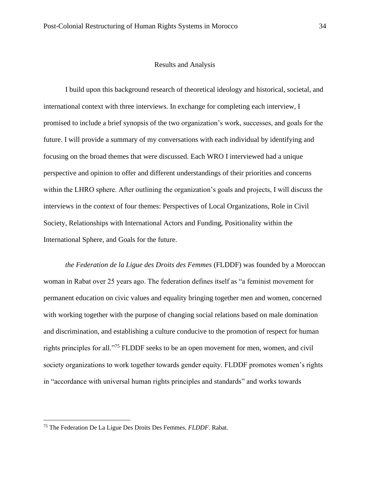#### Results and Analysis

I build upon this background research of theoretical ideology and historical, societal, and international context with three interviews. In exchange for completing each interview, I promised to include a brief synopsis of the two organization's work, successes, and goals for the future. I will provide a summary of my conversations with each individual by identifying and focusing on the broad themes that were discussed. Each WRO I interviewed had a unique perspective and opinion to offer and different understandings of their priorities and concerns within the LHRO sphere. After outlining the organization's goals and projects, I will discuss the interviews in the context of four themes: Perspectives of Local Organizations, Role in Civil Society, Relationships with International Actors and Funding, Positionality within the International Sphere, and Goals for the future.

*the Federation de la Ligue des Droits des Femmes* (FLDDF) was founded by a Moroccan woman in Rabat over 25 years ago. The federation defines itself as "a feminist movement for permanent education on civic values and equality bringing together men and women, concerned with working together with the purpose of changing social relations based on male domination and discrimination, and establishing a culture conducive to the promotion of respect for human rights principles for all."<sup>75</sup> FLDDF seeks to be an open movement for men, women, and civil society organizations to work together towards gender equity. FLDDF promotes women's rights in "accordance with universal human rights principles and standards" and works towards

<sup>75</sup> The Federation De La Ligue Des Droits Des Femmes. *FLDDF*. Rabat.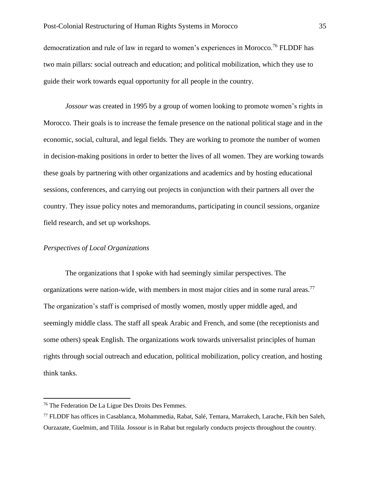democratization and rule of law in regard to women's experiences in Morocco.<sup>76</sup> FLDDF has two main pillars: social outreach and education; and political mobilization, which they use to guide their work towards equal opportunity for all people in the country.

*Jossour* was created in 1995 by a group of women looking to promote women's rights in Morocco. Their goals is to increase the female presence on the national political stage and in the economic, social, cultural, and legal fields. They are working to promote the number of women in decision-making positions in order to better the lives of all women. They are working towards these goals by partnering with other organizations and academics and by hosting educational sessions, conferences, and carrying out projects in conjunction with their partners all over the country. They issue policy notes and memorandums, participating in council sessions, organize field research, and set up workshops.

#### *Perspectives of Local Organizations*

The organizations that I spoke with had seemingly similar perspectives. The organizations were nation-wide, with members in most major cities and in some rural areas.<sup>77</sup> The organization's staff is comprised of mostly women, mostly upper middle aged, and seemingly middle class. The staff all speak Arabic and French, and some (the receptionists and some others) speak English. The organizations work towards universalist principles of human rights through social outreach and education, political mobilization, policy creation, and hosting think tanks.

<sup>76</sup> The Federation De La Ligue Des Droits Des Femmes.

<sup>77</sup> FLDDF has offices in Casablanca, Mohammedia, Rabat, Salé, Temara, Marrakech, Larache, Fkih ben Saleh, Ourzazate, Guelmim, and Tilila. Jossour is in Rabat but regularly conducts projects throughout the country.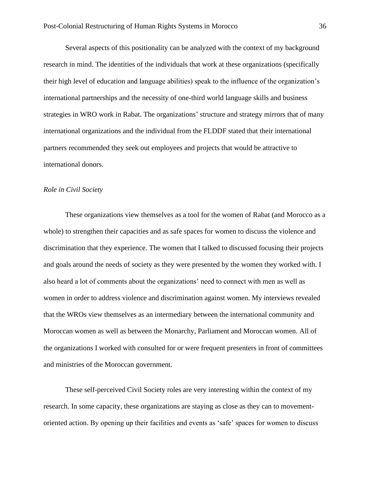Several aspects of this positionality can be analyzed with the context of my background research in mind. The identities of the individuals that work at these organizations (specifically their high level of education and language abilities) speak to the influence of the organization's international partnerships and the necessity of one-third world language skills and business strategies in WRO work in Rabat. The organizations' structure and strategy mirrors that of many international organizations and the individual from the FLDDF stated that their international partners recommended they seek out employees and projects that would be attractive to international donors.

#### *Role in Civil Society*

These organizations view themselves as a tool for the women of Rabat (and Morocco as a whole) to strengthen their capacities and as safe spaces for women to discuss the violence and discrimination that they experience. The women that I talked to discussed focusing their projects and goals around the needs of society as they were presented by the women they worked with. I also heard a lot of comments about the organizations' need to connect with men as well as women in order to address violence and discrimination against women. My interviews revealed that the WROs view themselves as an intermediary between the international community and Moroccan women as well as between the Monarchy, Parliament and Moroccan women. All of the organizations I worked with consulted for or were frequent presenters in front of committees and ministries of the Moroccan government.

These self-perceived Civil Society roles are very interesting within the context of my research. In some capacity, these organizations are staying as close as they can to movementoriented action. By opening up their facilities and events as 'safe' spaces for women to discuss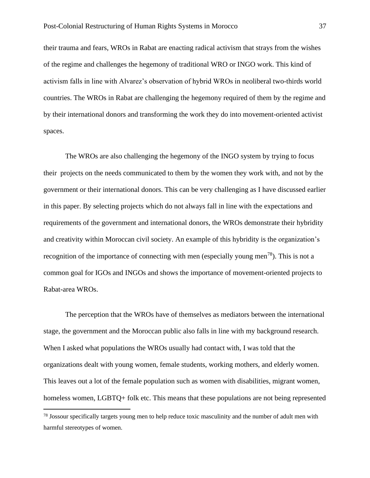their trauma and fears, WROs in Rabat are enacting radical activism that strays from the wishes of the regime and challenges the hegemony of traditional WRO or INGO work. This kind of activism falls in line with Alvarez's observation of hybrid WROs in neoliberal two-thirds world countries. The WROs in Rabat are challenging the hegemony required of them by the regime and by their international donors and transforming the work they do into movement-oriented activist spaces.

The WROs are also challenging the hegemony of the INGO system by trying to focus their projects on the needs communicated to them by the women they work with, and not by the government or their international donors. This can be very challenging as I have discussed earlier in this paper. By selecting projects which do not always fall in line with the expectations and requirements of the government and international donors, the WROs demonstrate their hybridity and creativity within Moroccan civil society. An example of this hybridity is the organization's recognition of the importance of connecting with men (especially young men<sup>78</sup>). This is not a common goal for IGOs and INGOs and shows the importance of movement-oriented projects to Rabat-area WROs.

The perception that the WROs have of themselves as mediators between the international stage, the government and the Moroccan public also falls in line with my background research. When I asked what populations the WROs usually had contact with, I was told that the organizations dealt with young women, female students, working mothers, and elderly women. This leaves out a lot of the female population such as women with disabilities, migrant women, homeless women, LGBTQ+ folk etc. This means that these populations are not being represented

<sup>&</sup>lt;sup>78</sup> Jossour specifically targets young men to help reduce toxic masculinity and the number of adult men with harmful stereotypes of women.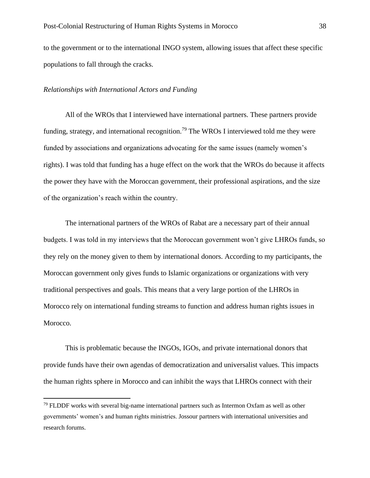to the government or to the international INGO system, allowing issues that affect these specific populations to fall through the cracks.

#### *Relationships with International Actors and Funding*

All of the WROs that I interviewed have international partners. These partners provide funding, strategy, and international recognition.<sup>79</sup> The WROs I interviewed told me they were funded by associations and organizations advocating for the same issues (namely women's rights). I was told that funding has a huge effect on the work that the WROs do because it affects the power they have with the Moroccan government, their professional aspirations, and the size of the organization's reach within the country.

The international partners of the WROs of Rabat are a necessary part of their annual budgets. I was told in my interviews that the Moroccan government won't give LHROs funds, so they rely on the money given to them by international donors. According to my participants, the Moroccan government only gives funds to Islamic organizations or organizations with very traditional perspectives and goals. This means that a very large portion of the LHROs in Morocco rely on international funding streams to function and address human rights issues in Morocco.

This is problematic because the INGOs, IGOs, and private international donors that provide funds have their own agendas of democratization and universalist values. This impacts the human rights sphere in Morocco and can inhibit the ways that LHROs connect with their

 $79$  FLDDF works with several big-name international partners such as Intermon Oxfam as well as other governments' women's and human rights ministries. Jossour partners with international universities and research forums.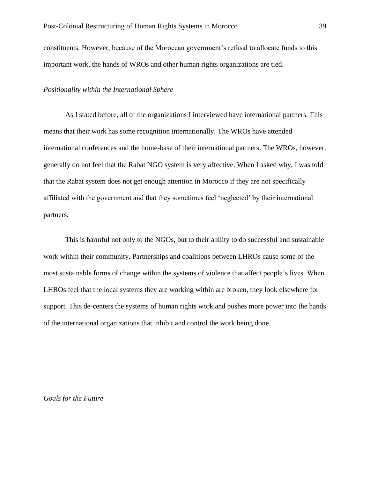constituents. However, because of the Moroccan government's refusal to allocate funds to this important work, the hands of WROs and other human rights organizations are tied.

#### *Positionality within the International Sphere*

As I stated before, all of the organizations I interviewed have international partners. This means that their work has some recognition internationally. The WROs have attended international conferences and the home-base of their international partners. The WROs, however, generally do not feel that the Rabat NGO system is very affective. When I asked why, I was told that the Rabat system does not get enough attention in Morocco if they are not specifically affiliated with the government and that they sometimes feel 'neglected' by their international partners.

This is harmful not only to the NGOs, but to their ability to do successful and sustainable work within their community. Partnerships and coalitions between LHROs cause some of the most sustainable forms of change within the systems of violence that affect people's lives. When LHROs feel that the local systems they are working within are broken, they look elsewhere for support. This de-centers the systems of human rights work and pushes more power into the hands of the international organizations that inhibit and control the work being done.

*Goals for the Future*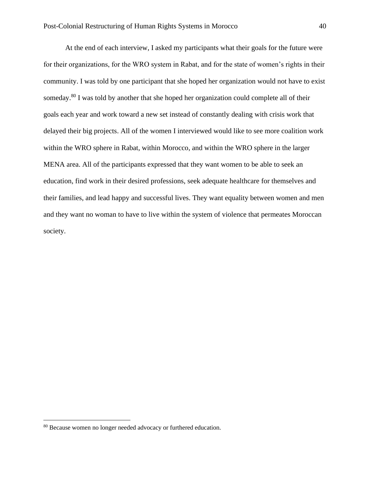At the end of each interview, I asked my participants what their goals for the future were for their organizations, for the WRO system in Rabat, and for the state of women's rights in their community. I was told by one participant that she hoped her organization would not have to exist someday.<sup>80</sup> I was told by another that she hoped her organization could complete all of their goals each year and work toward a new set instead of constantly dealing with crisis work that delayed their big projects. All of the women I interviewed would like to see more coalition work within the WRO sphere in Rabat, within Morocco, and within the WRO sphere in the larger MENA area. All of the participants expressed that they want women to be able to seek an education, find work in their desired professions, seek adequate healthcare for themselves and their families, and lead happy and successful lives. They want equality between women and men and they want no woman to have to live within the system of violence that permeates Moroccan society.

<sup>80</sup> Because women no longer needed advocacy or furthered education.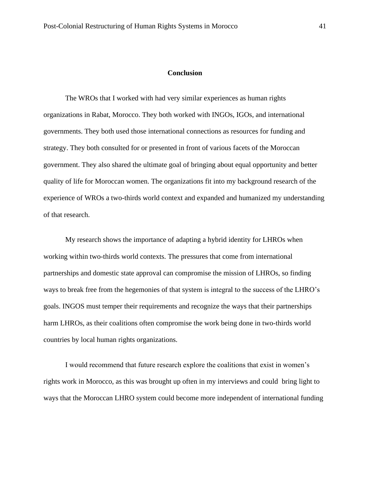#### **Conclusion**

The WROs that I worked with had very similar experiences as human rights organizations in Rabat, Morocco. They both worked with INGOs, IGOs, and international governments. They both used those international connections as resources for funding and strategy. They both consulted for or presented in front of various facets of the Moroccan government. They also shared the ultimate goal of bringing about equal opportunity and better quality of life for Moroccan women. The organizations fit into my background research of the experience of WROs a two-thirds world context and expanded and humanized my understanding of that research.

My research shows the importance of adapting a hybrid identity for LHROs when working within two-thirds world contexts. The pressures that come from international partnerships and domestic state approval can compromise the mission of LHROs, so finding ways to break free from the hegemonies of that system is integral to the success of the LHRO's goals. INGOS must temper their requirements and recognize the ways that their partnerships harm LHROs, as their coalitions often compromise the work being done in two-thirds world countries by local human rights organizations.

I would recommend that future research explore the coalitions that exist in women's rights work in Morocco, as this was brought up often in my interviews and could bring light to ways that the Moroccan LHRO system could become more independent of international funding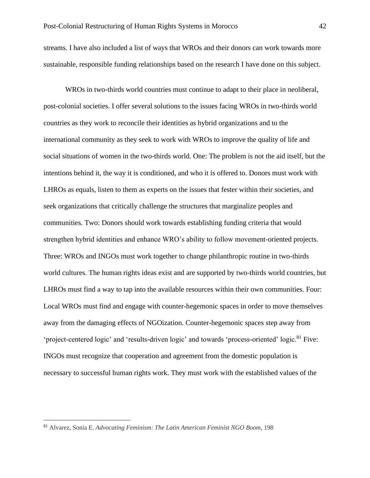streams. I have also included a list of ways that WROs and their donors can work towards more sustainable, responsible funding relationships based on the research I have done on this subject.

WROs in two-thirds world countries must continue to adapt to their place in neoliberal, post-colonial societies. I offer several solutions to the issues facing WROs in two-thirds world countries as they work to reconcile their identities as hybrid organizations and to the international community as they seek to work with WROs to improve the quality of life and social situations of women in the two-thirds world. One: The problem is not the aid itself, but the intentions behind it, the way it is conditioned, and who it is offered to. Donors must work with LHROs as equals, listen to them as experts on the issues that fester within their societies, and seek organizations that critically challenge the structures that marginalize peoples and communities. Two: Donors should work towards establishing funding criteria that would strengthen hybrid identities and enhance WRO's ability to follow movement-oriented projects. Three: WROs and INGOs must work together to change philanthropic routine in two-thirds world cultures. The human rights ideas exist and are supported by two-thirds world countries, but LHROs must find a way to tap into the available resources within their own communities. Four: Local WROs must find and engage with counter-hegemonic spaces in order to move themselves away from the damaging effects of NGOization. Counter-hegemonic spaces step away from 'project-centered logic' and 'results-driven logic' and towards 'process-oriented' logic.<sup>81</sup> Five: INGOs must recognize that cooperation and agreement from the domestic population is necessary to successful human rights work. They must work with the established values of the

<sup>81</sup> Alvarez, Sonia E. *Advocating Feminism: The Latin American Feminist NGO Boom*, 198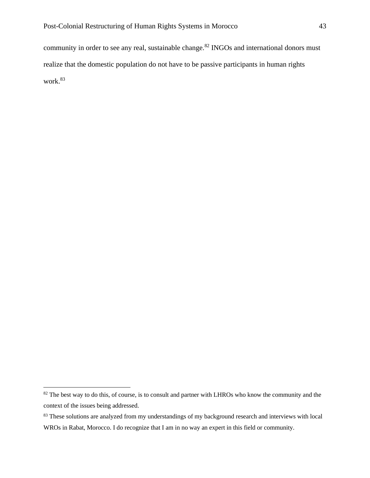community in order to see any real, sustainable change.<sup>82</sup> INGOs and international donors must realize that the domestic population do not have to be passive participants in human rights work.<sup>83</sup>

<sup>&</sup>lt;sup>82</sup> The best way to do this, of course, is to consult and partner with LHROs who know the community and the context of the issues being addressed.

<sup>&</sup>lt;sup>83</sup> These solutions are analyzed from my understandings of my background research and interviews with local WROs in Rabat, Morocco. I do recognize that I am in no way an expert in this field or community.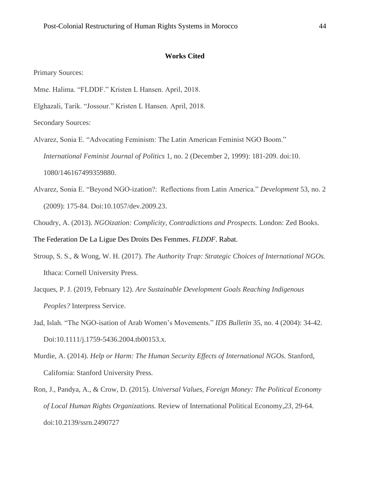#### **Works Cited**

Primary Sources:

- Mme. Halima. "FLDDF." Kristen L Hansen. April, 2018.
- Elghazali, Tarik. "Jossour." Kristen L Hansen. April, 2018.

Secondary Sources:

- Alvarez, Sonia E. "Advocating Feminism: The Latin American Feminist NGO Boom." *International Feminist Journal of Politics* 1, no. 2 (December 2, 1999): 181-209. doi:10. 1080/146167499359880.
- Alvarez, Sonia E. "Beyond NGO-ization?: Reflections from Latin America." *Development* 53, no. 2 (2009): 175-84. Doi:10.1057/dev.2009.23.
- Choudry, A. (2013). *NGOization: Complicity, Contradictions and Prospects.* London: Zed Books.

The Federation De La Ligue Des Droits Des Femmes. *FLDDF*. Rabat.

- Stroup, S. S., & Wong, W. H. (2017). *The Authority Trap: Strategic Choices of International NGOs.* Ithaca: Cornell University Press.
- Jacques, P. J. (2019, February 12). *Are Sustainable Development Goals Reaching Indigenous Peoples?* Interpress Service.
- Jad, Islah. "The NGO-isation of Arab Women's Movements." *IDS Bulletin* 35, no. 4 (2004): 34-42. Doi:10.1111/j.1759-5436.2004.tb00153.x.
- Murdie, A. (2014). *Help or Harm: The Human Security Effects of International NGOs.* Stanford, California: Stanford University Press.
- Ron, J., Pandya, A., & Crow, D. (2015). *Universal Values, Foreign Money: The Political Economy of Local Human Rights Organizations.* Review of International Political Economy*,23*, 29-64. doi:10.2139/ssrn.2490727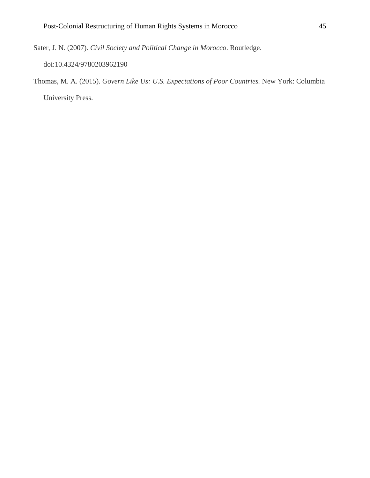Sater, J. N. (2007). *Civil Society and Political Change in Morocco*. Routledge.

doi:10.4324/9780203962190

Thomas, M. A. (2015). *Govern Like Us: U.S. Expectations of Poor Countries.* New York: Columbia University Press.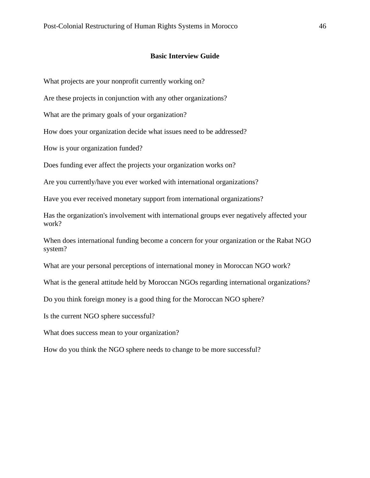#### **Basic Interview Guide**

What projects are your nonprofit currently working on?

Are these projects in conjunction with any other organizations?

What are the primary goals of your organization?

How does your organization decide what issues need to be addressed?

How is your organization funded?

Does funding ever affect the projects your organization works on?

Are you currently/have you ever worked with international organizations?

Have you ever received monetary support from international organizations?

Has the organization's involvement with international groups ever negatively affected your work?

When does international funding become a concern for your organization or the Rabat NGO system?

What are your personal perceptions of international money in Moroccan NGO work?

What is the general attitude held by Moroccan NGOs regarding international organizations?

Do you think foreign money is a good thing for the Moroccan NGO sphere?

Is the current NGO sphere successful?

What does success mean to your organization?

How do you think the NGO sphere needs to change to be more successful?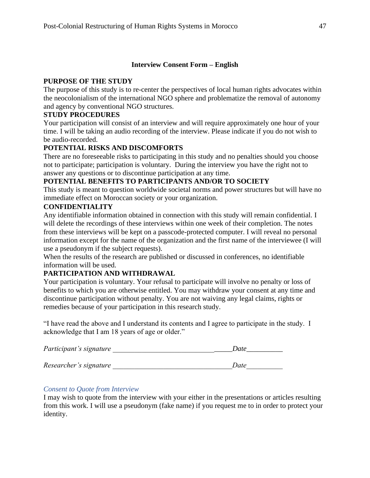## **Interview Consent Form – English**

## **PURPOSE OF THE STUDY**

The purpose of this study is to re-center the perspectives of local human rights advocates within the neocolonialism of the international NGO sphere and problematize the removal of autonomy and agency by conventional NGO structures.

## **STUDY PROCEDURES**

Your participation will consist of an interview and will require approximately one hour of your time. I will be taking an audio recording of the interview. Please indicate if you do not wish to be audio-recorded.

## **POTENTIAL RISKS AND DISCOMFORTS**

There are no foreseeable risks to participating in this study and no penalties should you choose not to participate; participation is voluntary. During the interview you have the right not to answer any questions or to discontinue participation at any time.

## **POTENTIAL BENEFITS TO PARTICIPANTS AND/OR TO SOCIETY**

This study is meant to question worldwide societal norms and power structures but will have no immediate effect on Moroccan society or your organization.

## **CONFIDENTIALITY**

Any identifiable information obtained in connection with this study will remain confidential. I will delete the recordings of these interviews within one week of their completion. The notes from these interviews will be kept on a passcode-protected computer. I will reveal no personal information except for the name of the organization and the first name of the interviewee (I will use a pseudonym if the subject requests).

When the results of the research are published or discussed in conferences, no identifiable information will be used.

## **PARTICIPATION AND WITHDRAWAL**

Your participation is voluntary. Your refusal to participate will involve no penalty or loss of benefits to which you are otherwise entitled. You may withdraw your consent at any time and discontinue participation without penalty. You are not waiving any legal claims, rights or remedies because of your participation in this research study.

"I have read the above and I understand its contents and I agree to participate in the study. I acknowledge that I am 18 years of age or older."

| Date |  |
|------|--|
| Date |  |
|      |  |

## *Consent to Quote from Interview*

I may wish to quote from the interview with your either in the presentations or articles resulting from this work. I will use a pseudonym (fake name) if you request me to in order to protect your identity.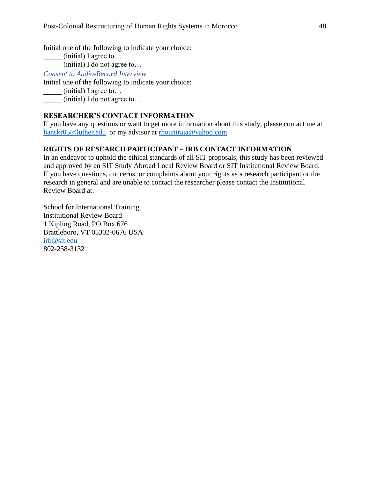Initial one of the following to indicate your choice:

(initial) I agree to...

 $\frac{1}{\sqrt{1-\frac{1}{\sqrt{1-\frac{1}{\sqrt{1-\frac{1}{\sqrt{1-\frac{1}{\sqrt{1-\frac{1}{\sqrt{1-\frac{1}{\sqrt{1-\frac{1}{\sqrt{1-\frac{1}{\sqrt{1-\frac{1}{\sqrt{1-\frac{1}{\sqrt{1-\frac{1}{\sqrt{1-\frac{1}{\sqrt{1-\frac{1}{\sqrt{1-\frac{1}{\sqrt{1-\frac{1}{\sqrt{1-\frac{1}{\sqrt{1-\frac{1}{\sqrt{1-\frac{1}{\sqrt{1-\frac{1}{\sqrt{1-\frac{1}{\sqrt{1-\frac{1}{\sqrt{1-\frac{1}{\sqrt{1-\frac{1}{\sqrt{1-\frac{1$ 

*Consent to Audio-Record Interview*

Initial one of the following to indicate your choice:

 $(i$ nitial) I agree to...

 $(i$ nitial) I do not agree to...

## **RESEARCHER'S CONTACT INFORMATION**

If you have any questions or want to get more information about this study, please contact me at [hanskr05@luther.edu](mailto:hanskr05@luther.edu) or my advisor at [rhouniraja@yahoo.com.](mailto:rhouniraja@yahoo.com)

## **RIGHTS OF RESEARCH PARTICIPANT – IRB CONTACT INFORMATION**

In an endeavor to uphold the ethical standards of all SIT proposals, this study has been reviewed and approved by an SIT Study Abroad Local Review Board or SIT Institutional Review Board. If you have questions, concerns, or complaints about your rights as a research participant or the research in general and are unable to contact the researcher please contact the Institutional Review Board at:

School for International Training Institutional Review Board 1 Kipling Road, PO Box 676 Brattleboro, VT 05302-0676 USA [irb@sit.edu](mailto:irb@sit.edu) 802-258-3132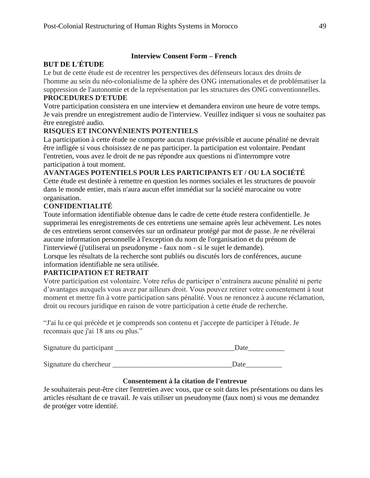## **Interview Consent Form – French**

## **BUT DE L'ÉTUDE**

Le but de cette étude est de recentrer les perspectives des défenseurs locaux des droits de l'homme au sein du néo-colonialisme de la sphère des ONG internationales et de problématiser la suppression de l'autonomie et de la représentation par les structures des ONG conventionnelles.

## **PROCEDURES D'ETUDE**

Votre participation consistera en une interview et demandera environ une heure de votre temps. Je vais prendre un enregistrement audio de l'interview. Veuillez indiquer si vous ne souhaitez pas être enregistré audio.

## **RISQUES ET INCONVÉNIENTS POTENTIELS**

La participation à cette étude ne comporte aucun risque prévisible et aucune pénalité ne devrait être infligée si vous choisissez de ne pas participer. la participation est volontaire. Pendant l'entretien, vous avez le droit de ne pas répondre aux questions ni d'interrompre votre participation à tout moment.

## **AVANTAGES POTENTIELS POUR LES PARTICIPANTS ET / OU LA SOCIÉTÉ**

Cette étude est destinée à remettre en question les normes sociales et les structures de pouvoir dans le monde entier, mais n'aura aucun effet immédiat sur la société marocaine ou votre organisation.

## **CONFIDENTIALITÉ**

Toute information identifiable obtenue dans le cadre de cette étude restera confidentielle. Je supprimerai les enregistrements de ces entretiens une semaine après leur achèvement. Les notes de ces entretiens seront conservées sur un ordinateur protégé par mot de passe. Je ne révélerai aucune information personnelle à l'exception du nom de l'organisation et du prénom de l'interviewé (j'utiliserai un pseudonyme - faux nom - si le sujet le demande).

Lorsque les résultats de la recherche sont publiés ou discutés lors de conférences, aucune information identifiable ne sera utilisée.

## **PARTICIPATION ET RETRAIT**

Votre participation est volontaire. Votre refus de participer n'entraînera aucune pénalité ni perte d'avantages auxquels vous avez par ailleurs droit. Vous pouvez retirer votre consentement à tout moment et mettre fin à votre participation sans pénalité. Vous ne renoncez à aucune réclamation, droit ou recours juridique en raison de votre participation à cette étude de recherche.

"J'ai lu ce qui précède et je comprends son contenu et j'accepte de participer à l'étude. Je reconnais que j'ai 18 ans ou plus."

| Signature du participant |  |
|--------------------------|--|
|                          |  |

Signature du chercheur the contract of the contract of the contract of the contract of the contract of the contract of the contract of the contract of the contract of the contract of the contract of the contract of the con

## **Consentement à la citation de l'entrevue**

Je souhaiterais peut-être citer l'entretien avec vous, que ce soit dans les présentations ou dans les articles résultant de ce travail. Je vais utiliser un pseudonyme (faux nom) si vous me demandez de protéger votre identité.